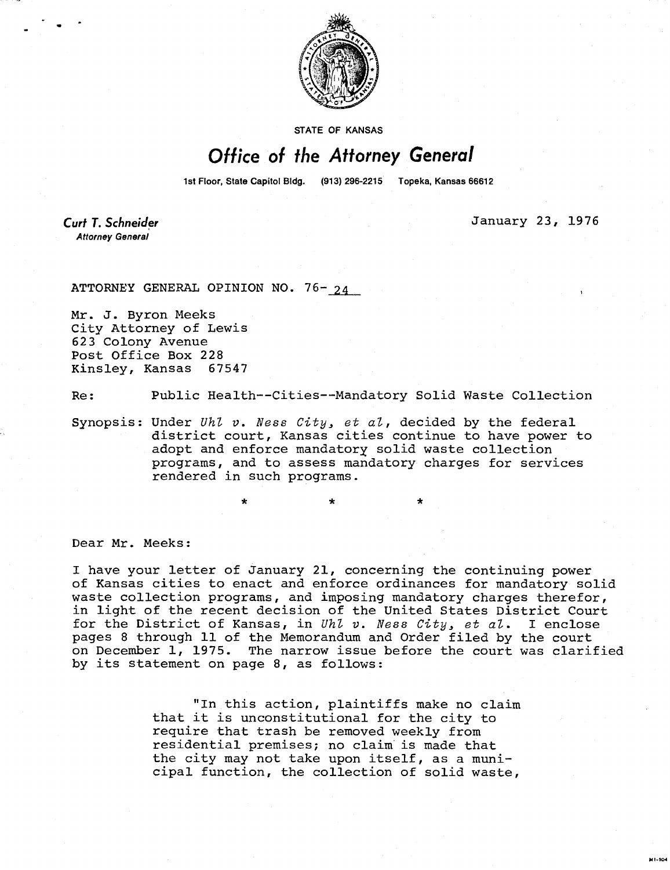

**STATE OF KANSAS** 

## Office of the Attorney General

1st Floor, State Capitol Bldg. (913) 296-2215 Topeka, Kansas 66612

Curt T. Schneider **Attorney General** 

January 23, 1976

MI-104

ATTORNEY GENERAL OPINION NO. 76- 24

Mr. J. Byron Meeks City Attorney of Lewis 623 Colony Avenue Post Office Box 228 Kinsley, Kansas 67547

Re: Public Health--Cities--Mandatory Solid Waste Collection

Synopsis: Under  $Uh\ell$  v. Ness City, et al, decided by the federal district court, Kansas cities continue to have power to adopt and enforce mandatory solid waste collection programs, and to assess mandatory charges for services rendered in such programs.

Dear Mr. Meeks:

I have your letter of January 21, concerning the continuing power of Kansas cities to enact and enforce ordinances for mandatory solid waste collection programs, and imposing mandatory charges therefor, in light of the recent decision of the United States District Court for the District of Kansas, in Uhl v. Ness City, et al. I enclose pages 8 through 11 of the Memorandum and Order filed by the court on December 1, 1975. The narrow issue before the court was clarified by its statement on page 8, as follows:

> "In this action, plaintiffs make no claim that it is unconstitutional for the city to require that trash be removed weekly from residential premises; no claim is made that the city may not take upon itself, as a municipal function, the collection of solid waste,